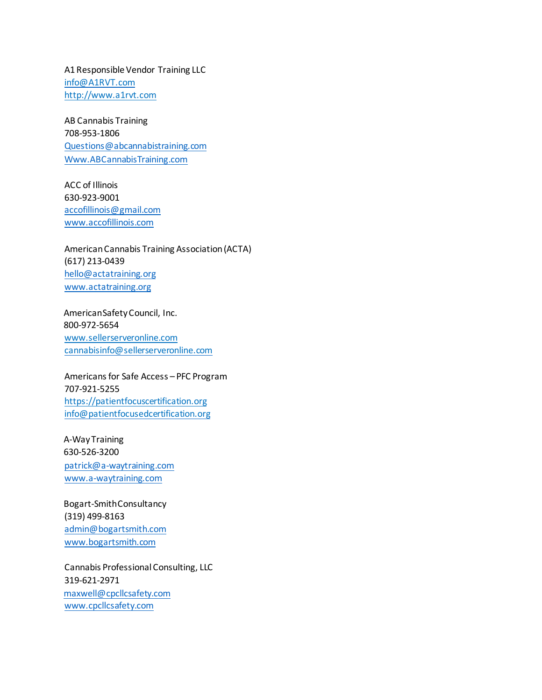A1Responsible Vendor Training LLC [info@A1RVT.com](mailto:info@A1RVT.com) [http://www.a1rvt.com](http://www.a1rvt.com/)

AB Cannabis Training 708-953-1806 [Questions@abcannabistraining.com](mailto:Questions@abcannabistraining.com) [Www.ABCannabisTraining.com](http://www.abcannabistraining.com/)

ACC of Illinois 630-923-9001 [accofillinois@gmail.com](mailto:accofillinois@gmail.com) [www.accofillinois.com](http://www.accofillinois.com/)

AmericanCannabis Training Association(ACTA) (617) 213-0439 [hello@actatraining.org](mailto:hello@actatraining.org) [www.actatraining.org](http://www.actatraining.org/)

AmericanSafetyCouncil, Inc. 800-972-5654 [www.sellerserveronline.com](http://www.sellerserveronline.com/) [cannabisinfo@sellerserveronline.com](mailto:cannabisinfo@sellerserveronline.com)

Americans for Safe Access - PFC Program 707-921-5255 [https://patientfocuscertification.org](https://patientfocuscertification.org/) [info@patientfocusedcertification.org](mailto:info@patientfocusedcertification.org)

A-WayTraining 630-526-3200 [patrick@a-waytraining.com](mailto:patrick@a-waytraining.com) [www.a-waytraining.com](http://www.a-waytraining.com/)

Bogart-SmithConsultancy (319) 499-8163 [admin@bogartsmith.com](mailto:admin@bogartsmith.com) [www.bogartsmith.com](http://www.bogartsmith.com/)

Cannabis ProfessionalConsulting, LLC 319-621-2971 [maxwell@cpcllcsafety.com](mailto:maxwell@cpcllcsafety.com) [www.cpcllcsafety.com](http://www.cpcllcsafety.com/)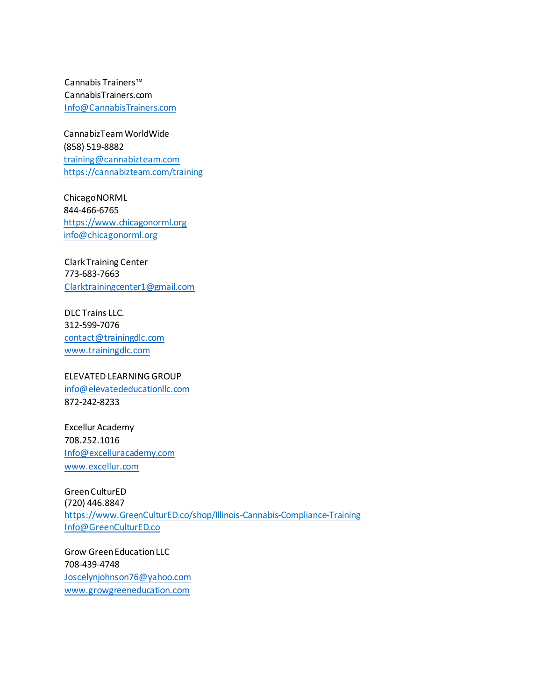Cannabis Trainers™ CannabisTrainers.com [Info@CannabisTrainers.com](mailto:Info@CannabisTrainers.com)

CannabizTeamWorldWide (858) 519-8882 [training@cannabizteam.com](mailto:training@cannabizteam.com) <https://cannabizteam.com/training>

ChicagoNORML 844-466-6765 [https://www.chicagonorml.org](https://www.chicagonorml.org/) [info@chicagonorml.org](mailto:info@chicagonorml.org)

ClarkTraining Center 773-683-7663 [Clarktrainingcenter1@gmail.com](mailto:Clarktrainingcenter1@gmail.com)

DLC Trains LLC. 312-599-7076 [contact@trainingdlc.com](mailto:contact@trainingdlc.com) [www.trainingdlc.com](http://www.trainingdlc.com/)

ELEVATED LEARNINGGROUP [info@elevatededucationllc.com](mailto:info@elevatededucationllc.com) 872-242-8233

Excellur Academy 708.252.1016 [Info@excelluracademy.com](mailto:Info@excelluracademy.com) [www.excellur.com](http://www.excellur.com/)

GreenCulturED (720) 446.8847 [https://www.GreenCulturED.co/shop/Illinois-Cannabis-Compliance-Training](https://www.greencultured.co/shop/Illinois-Cannabis-Compliance-Training) [Info@GreenCulturED.co](mailto:Info@GreenCulturED.co)

Grow GreenEducationLLC 708-439-4748 [Joscelynjohnson76@yahoo.com](mailto:Joscelynjohnson76@yahoo.com) [www.growgreeneducation.com](http://www.growgreeneducation.com/)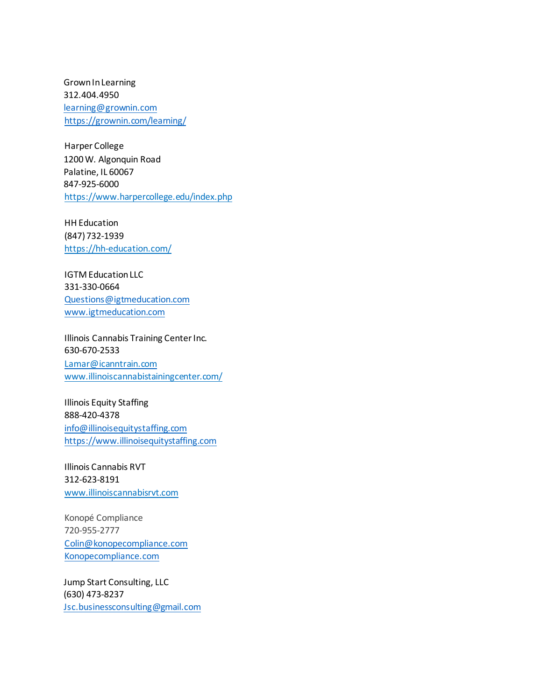GrownInLearning 312.404.4950 [learning@grownin.com](mailto:learning@grownin.com) <https://grownin.com/learning/>

Harper College 1200W. Algonquin Road Palatine, IL 60067 847-925-6000 <https://www.harpercollege.edu/index.php>

HH Education (847)732-1939 <https://hh-education.com/>

**IGTM Education LLC** 331-330-0664 [Questions@igtmeducation.com](mailto:Questions@igtmeducation.com) [www.igtmeducation.com](http://www.igtmeducation.com/)

Illinois Cannabis Training Center Inc. 630-670-2533 [Lamar@icanntrain.com](mailto:Lamar@icanntrain.com) [www.illinoiscannabistainingcenter.com/](http://www.illinoiscannabistainingcenter.com/)

Illinois Equity Staffing 888-420-4378 [info@illinoisequitystaffing.com](mailto:info@illinoisequitystaffing.com) [https://www.illinoisequitystaffing.com](https://www.illinoisequitystaffing.com/)

Illinois Cannabis RVT 312-623-8191 [www.illinoiscannabisrvt.com](http://www.illinoiscannabisrvt.com/)

Konopé Compliance 720-955-2777 [Colin@konopecompliance.com](mailto:Colin@konopecompliance.com) [Konopecompliance.com](http://konopecompliance.com/)

Jump Start Consulting, LLC (630) 473-8237 [Jsc.businessconsulting@gmail.com](mailto:Jsc.businessconsulting@gmail.com)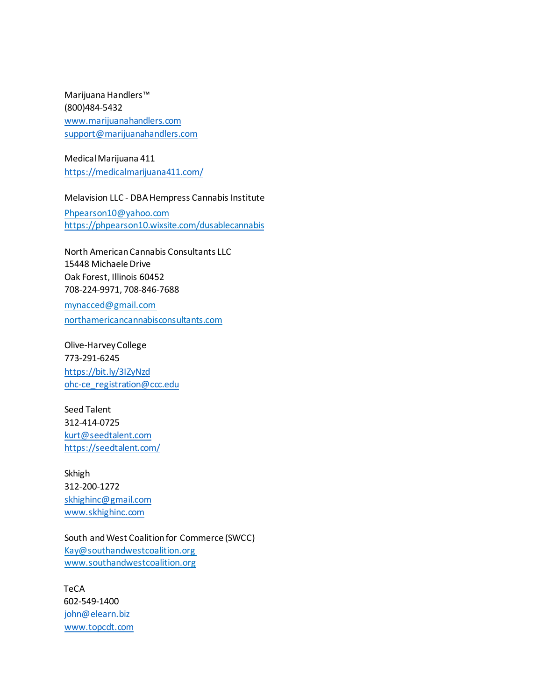Marijuana Handlers™ (800)484-5432 [www.marijuanahandlers.com](http://www.marijuanahandlers.com/) [support@marijuanahandlers.com](mailto:support@marijuanahandlers.com)

MedicalMarijuana 411 <https://medicalmarijuana411.com/>

Melavision LLC - DBA Hempress Cannabis Institute

[Phpearson10@yahoo.com](mailto:Phpearson10@yahoo.com) <https://phpearson10.wixsite.com/dusablecannabis>

North AmericanCannabis Consultants LLC 15448 MichaeleDrive Oak Forest, Illinois 60452 708-224-9971, 708-846-7688

[mynacced@gmail.com](mailto:mynacced@gmail.com) [northamericancannabisconsultants.com](http://northamericancannabisconsultants.com/)

Olive-HarveyCollege 773-291-6245 <https://bit.ly/3IZyNzd> [ohc-ce\\_registration@ccc.edu](mailto:ohc-ce_registration@ccc.edu)

Seed Talent 312-414-0725 [kurt@seedtalent.com](mailto:kurt@seedtalent.com) <https://seedtalent.com/>

Skhigh 312-200-1272 [skhighinc@gmail.com](mailto:skhighinc@gmail.com) [www.skhighinc.com](http://www.skhighinc.com/)

South and West Coalition for Commerce (SWCC) [Kay@southandwestcoalition.org](mailto:Kay@southandwestcoalition.org) [www.southandwestcoalition.org](http://www.southandwestcoalition.org/)

**TeCA** 602-549-1400 [john@elearn.biz](mailto:john@elearn.biz) [www.topcdt.com](http://www.topcdt.com/)